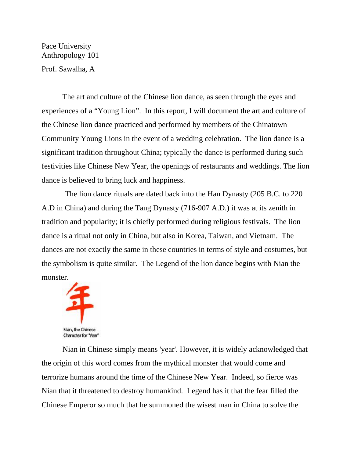Pace University Anthropology 101

Prof. Sawalha, A

The art and culture of the Chinese lion dance, as seen through the eyes and experiences of a "Young Lion". In this report, I will document the art and culture of the Chinese lion dance practiced and performed by members of the Chinatown Community Young Lions in the event of a wedding celebration. The lion dance is a significant tradition throughout China; typically the dance is performed during such festivities like Chinese New Year, the openings of restaurants and weddings. The lion dance is believed to bring luck and happiness.

 The lion dance rituals are dated back into the Han Dynasty (205 B.C. to 220 A.D in China) and during the Tang Dynasty (716-907 A.D.) it was at its zenith in tradition and popularity; it is chiefly performed during religious festivals. The lion dance is a ritual not only in China, but also in Korea, Taiwan, and Vietnam. The dances are not exactly the same in these countries in terms of style and costumes, but the symbolism is quite similar. The Legend of the lion dance begins with Nian the monster.



Nian in Chinese simply means 'year'. However, it is widely acknowledged that the origin of this word comes from the mythical monster that would come and terrorize humans around the time of the Chinese New Year. Indeed, so fierce was Nian that it threatened to destroy humankind. Legend has it that the fear filled the Chinese Emperor so much that he summoned the wisest man in China to solve the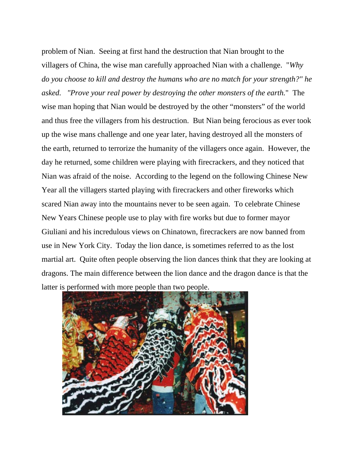problem of Nian. Seeing at first hand the destruction that Nian brought to the villagers of China, the wise man carefully approached Nian with a challenge. "*Why do you choose to kill and destroy the humans who are no match for your strength?" he asked. "Prove your real power by destroying the other monsters of the earth.*" The wise man hoping that Nian would be destroyed by the other "monsters" of the world and thus free the villagers from his destruction. But Nian being ferocious as ever took up the wise mans challenge and one year later, having destroyed all the monsters of the earth, returned to terrorize the humanity of the villagers once again. However, the day he returned, some children were playing with firecrackers, and they noticed that Nian was afraid of the noise. According to the legend on the following Chinese New Year all the villagers started playing with firecrackers and other fireworks which scared Nian away into the mountains never to be seen again. To celebrate Chinese New Years Chinese people use to play with fire works but due to former mayor Giuliani and his incredulous views on Chinatown, firecrackers are now banned from use in New York City. Today the lion dance, is sometimes referred to as the lost martial art. Quite often people observing the lion dances think that they are looking at dragons. The main difference between the lion dance and the dragon dance is that the latter is performed with more people than two people.

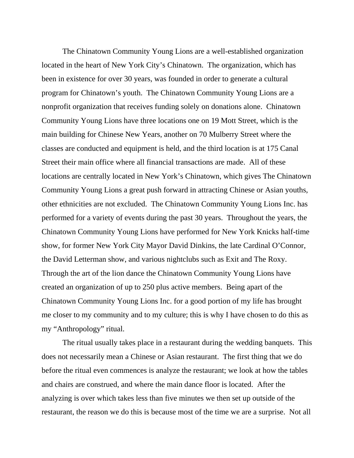The Chinatown Community Young Lions are a well-established organization located in the heart of New York City's Chinatown. The organization, which has been in existence for over 30 years, was founded in order to generate a cultural program for Chinatown's youth. The Chinatown Community Young Lions are a nonprofit organization that receives funding solely on donations alone. Chinatown Community Young Lions have three locations one on 19 Mott Street, which is the main building for Chinese New Years, another on 70 Mulberry Street where the classes are conducted and equipment is held, and the third location is at 175 Canal Street their main office where all financial transactions are made. All of these locations are centrally located in New York's Chinatown, which gives The Chinatown Community Young Lions a great push forward in attracting Chinese or Asian youths, other ethnicities are not excluded. The Chinatown Community Young Lions Inc. has performed for a variety of events during the past 30 years. Throughout the years, the Chinatown Community Young Lions have performed for New York Knicks half-time show, for former New York City Mayor David Dinkins, the late Cardinal O'Connor, the David Letterman show, and various nightclubs such as Exit and The Roxy. Through the art of the lion dance the Chinatown Community Young Lions have created an organization of up to 250 plus active members. Being apart of the Chinatown Community Young Lions Inc. for a good portion of my life has brought me closer to my community and to my culture; this is why I have chosen to do this as my "Anthropology" ritual.

The ritual usually takes place in a restaurant during the wedding banquets. This does not necessarily mean a Chinese or Asian restaurant. The first thing that we do before the ritual even commences is analyze the restaurant; we look at how the tables and chairs are construed, and where the main dance floor is located. After the analyzing is over which takes less than five minutes we then set up outside of the restaurant, the reason we do this is because most of the time we are a surprise. Not all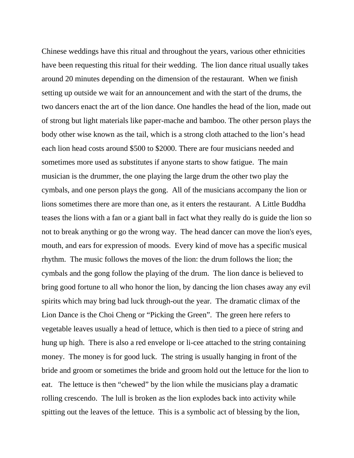Chinese weddings have this ritual and throughout the years, various other ethnicities have been requesting this ritual for their wedding. The lion dance ritual usually takes around 20 minutes depending on the dimension of the restaurant. When we finish setting up outside we wait for an announcement and with the start of the drums, the two dancers enact the art of the lion dance. One handles the head of the lion, made out of strong but light materials like paper-mache and bamboo. The other person plays the body other wise known as the tail, which is a strong cloth attached to the lion's head each lion head costs around \$500 to \$2000. There are four musicians needed and sometimes more used as substitutes if anyone starts to show fatigue. The main musician is the drummer, the one playing the large drum the other two play the cymbals, and one person plays the gong. All of the musicians accompany the lion or lions sometimes there are more than one, as it enters the restaurant. A Little Buddha teases the lions with a fan or a giant ball in fact what they really do is guide the lion so not to break anything or go the wrong way. The head dancer can move the lion's eyes, mouth, and ears for expression of moods. Every kind of move has a specific musical rhythm. The music follows the moves of the lion: the drum follows the lion; the cymbals and the gong follow the playing of the drum. The lion dance is believed to bring good fortune to all who honor the lion, by dancing the lion chases away any evil spirits which may bring bad luck through-out the year. The dramatic climax of the Lion Dance is the Choi Cheng or "Picking the Green". The green here refers to vegetable leaves usually a head of lettuce, which is then tied to a piece of string and hung up high. There is also a red envelope or li-cee attached to the string containing money. The money is for good luck. The string is usually hanging in front of the bride and groom or sometimes the bride and groom hold out the lettuce for the lion to eat. The lettuce is then "chewed" by the lion while the musicians play a dramatic rolling crescendo. The lull is broken as the lion explodes back into activity while spitting out the leaves of the lettuce. This is a symbolic act of blessing by the lion,